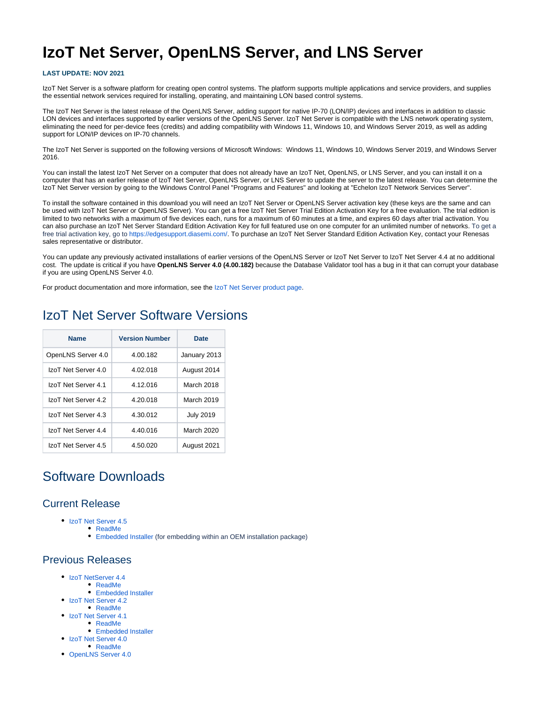# **IzoT Net Server, OpenLNS Server, and LNS Server**

#### **LAST UPDATE: NOV 2021**

IzoT Net Server is a software platform for creating open control systems. The platform supports multiple applications and service providers, and supplies the essential network services required for installing, operating, and maintaining LON based control systems.

The IzoT Net Server is the latest release of the OpenLNS Server, adding support for native IP-70 (LON/IP) devices and interfaces in addition to classic LON devices and interfaces supported by earlier versions of the OpenLNS Server. IzoT Net Server is compatible with the LNS network operating system, eliminating the need for per-device fees (credits) and adding compatibility with Windows 11, Windows 10, and Windows Server 2019, as well as adding support for LON/IP devices on IP-70 channels.

The IzoT Net Server is supported on the following versions of Microsoft Windows: Windows 11, Windows 10, Windows Server 2019, and Windows Server 2016.

You can install the latest IzoT Net Server on a computer that does not already have an IzoT Net, OpenLNS, or LNS Server, and you can install it on a computer that has an earlier release of IzoT Net Server, OpenLNS Server, or LNS Server to update the server to the latest release. You can determine the IzoT Net Server version by going to the Windows Control Panel "Programs and Features" and looking at "Echelon IzoT Network Services Server".

To install the software contained in this download you will need an IzoT Net Server or OpenLNS Server activation key (these keys are the same and can be used with IzoT Net Server or OpenLNS Server). You can get a free IzoT Net Server Trial Edition Activation Key for a free evaluation. The trial edition is limited to two networks with a maximum of five devices each, runs for a maximum of 60 minutes at a time, and expires 60 days after trial activation. You can also purchase an IzoT Net Server Standard Edition Activation Key for full featured use on one computer for an unlimited number of networks. To get a free trial activation key, go to <https://edgesupport.diasemi.com/>. To purchase an IzoT Net Server Standard Edition Activation Key, contact your Renesas sales representative or distributor.

You can update any previously activated installations of earlier versions of the OpenLNS Server or IzoT Net Server or IzoT Net Server 4.4 at no additional cost. The update is critical if you have **OpenLNS Server 4.0 (4.00.182)** because the Database Validator tool has a bug in it that can corrupt your database if you are using OpenLNS Server 4.0.

For product documentation and more information, see the [IzoT Net Server product page.](https://www.dialog-semiconductor.com/products/systems-and-software/izot-net-server)

### IzoT Net Server Software Versions

| <b>Name</b>         | <b>Version Number</b> | Date             |
|---------------------|-----------------------|------------------|
| OpenLNS Server 4.0  | 4.00.182              | January 2013     |
| IzoT Net Server 4.0 | 4.02.018              | August 2014      |
| IzoT Net Server 4.1 | 4.12.016              | March 2018       |
| IzoT Net Server 4.2 | 4.20.018              | March 2019       |
| IzoT Net Server 4.3 | 4.30.012              | <b>July 2019</b> |
| IzoT Net Server 4.4 | 4.40.016              | March 2020       |
| IzoT Net Server 4.5 | 4.50.020              | August 2021      |

## Software Downloads

#### Current Release

- [IzoT Net Server 4.5](http://downloads.echelon.com/support/downloads/software/izot/net_server/standalone/4.50.020/IzoTNetServer450.exe)
	- [ReadMe](http://downloads.echelon.com/support/downloads/software/izot/net_server/standalone/4.50.020/ReadMe.htm)
	- [Embedded Installer](http://downloads.echelon.com/support/downloads/software/izot/net_server/embedded/4.50.020/IzoTNetServerEmbedded450.zip) (for embedding within an OEM installation package)

### Previous Releases

- [IzoT NetServer 4.4](http://downloads.echelon.com/support/downloads/software/izot/net_server/standalone/4.40.016/IzoTNetServer440.exe)
	- [ReadMe](http://downloads.echelon.com/support/downloads/software/izot/net_server/standalone/4.40.016/ReadMe.htm)
	- [Embedded Installer](http://downloads.echelon.com/support/downloads/software/izot/net_server/embedded/4.40.016/IzoTNetServerEmbedded440.zip)
	- [IzoT Net Server 4.2](http://downloads.echelon.com/support/downloads/software/izot/net_server/standalone/4.20.018/ap-IzoTNetServer420.exe) • [ReadMe](http://downloads.echelon.com/support/downloads/software/izot/net_server/standalone/4.20.018/ReadMe.htm)
	- [IzoT Net Server 4.1](http://downloads.echelon.com/support/downloads/software/izot/net_server/standalone/4.12.016/153-0607-01A_IzoT_Net_Server_4.1.exe)
		- [ReadMe](http://downloads.echelon.com/support/downloads/software/izot/net_server/standalone/4.12.016/153-0607-01A_IzoT_Net_Server_4.1_ReadMe.htm)
			- [Embedded Installer](http://downloads.echelon.com/support/downloads/software/izot/net_server/embedded/4.12.016/IzoTNetServerEmbedded412.zip)
	- [IzoT Net Server 4.0](http://downloads.echelon.com/support/downloads/software/izot/net_server/standalone/4.02.018/153-0578-01B_IzoTNetServer402.exe)
		- [ReadMe](http://downloads.echelon.com/support/downloads/software/izot/net_server/standalone/4.02.018/153-0578-01B_ReadMe.htm)
	- [OpenLNS Server 4.0](http://downloads.echelon.com/support/downloads/software/izot/net_server/standalone/4.00.182/153-0505-01A_OpenLnsServer400.exe)